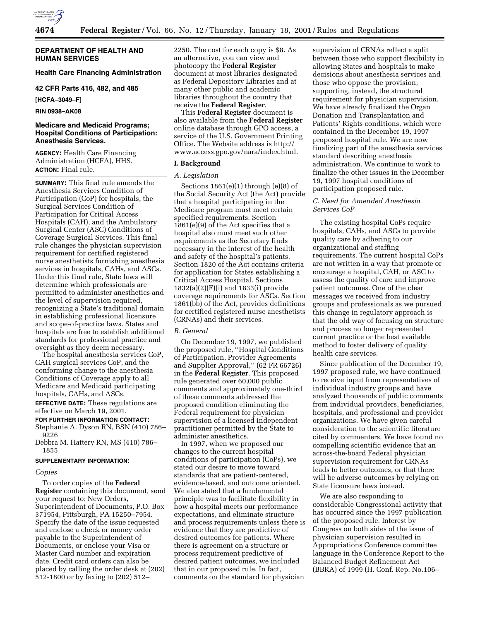

### **DEPARTMENT OF HEALTH AND HUMAN SERVICES**

### **Health Care Financing Administration**

**42 CFR Parts 416, 482, and 485**

**[HCFA–3049–F]**

**RIN 0938–AK08**

## **Medicare and Medicaid Programs; Hospital Conditions of Participation: Anesthesia Services.**

**AGENCY:** Health Care Financing Administration (HCFA), HHS. **ACTION:** Final rule.

**SUMMARY:** This final rule amends the Anesthesia Services Condition of Participation (CoP) for hospitals, the Surgical Services Condition of Participation for Critical Access Hospitals (CAH), and the Ambulatory Surgical Center (ASC) Conditions of Coverage Surgical Services. This final rule changes the physician supervision requirement for certified registered nurse anesthetists furnishing anesthesia services in hospitals, CAHs, and ASCs. Under this final rule, State laws will determine which professionals are permitted to administer anesthetics and the level of supervision required, recognizing a State's traditional domain in establishing professional licensure and scope-of-practice laws. States and hospitals are free to establish additional standards for professional practice and oversight as they deem necessary.

The hospital anesthesia services CoP, CAH surgical services CoP, and the conforming change to the anesthesia Conditions of Coverage apply to all Medicare and Medicaid participating hospitals, CAHs, and ASCs.

**EFFECTIVE DATE:** These regulations are effective on March 19, 2001.

### **FOR FURTHER INFORMATION CONTACT:**

Stephanie A. Dyson RN, BSN (410) 786– 9226

Debbra M. Hattery RN, MS (410) 786– 1855

#### **SUPPLEMENTARY INFORMATION:**

#### *Copies*

To order copies of the **Federal Register** containing this document, send your request to: New Orders, Superintendent of Documents, P.O. Box 371954, Pittsburgh, PA 15250–7954. Specify the date of the issue requested and enclose a check or money order payable to the Superintendent of Documents, or enclose your Visa or Master Card number and expiration date. Credit card orders can also be placed by calling the order desk at (202) 512-1800 or by faxing to (202) 512–

2250. The cost for each copy is \$8. As an alternative, you can view and photocopy the **Federal Register** document at most libraries designated as Federal Depository Libraries and at many other public and academic libraries throughout the country that receive the **Federal Register**.

This **Federal Register** document is also available from the **Federal Register** online database through GPO access, a service of the U.S. Government Printing Office. The Website address is http:// www.access.gpo.gov/nara/index.html.

# **I. Background**

## *A. Legislation*

Sections  $1861(e)(1)$  through  $(e)(8)$  of the Social Security Act (the Act) provide that a hospital participating in the Medicare program must meet certain specified requirements. Section 1861(e)(9) of the Act specifies that a hospital also must meet such other requirements as the Secretary finds necessary in the interest of the health and safety of the hospital's patients. Section 1820 of the Act contains criteria for application for States establishing a Critical Access Hospital. Sections 1832(a)(2)(F)(i) and 1833(i) provide coverage requirements for ASCs. Section 1861(bb) of the Act, provides definitions for certified registered nurse anesthetists (CRNAs) and their services.

#### *B. General*

On December 19, 1997, we published the proposed rule, ''Hospital Conditions of Participation, Provider Agreements and Supplier Approval,'' (62 FR 66726) in the **Federal Register**. This proposed rule generated over 60,000 public comments and approximately one-third of these comments addressed the proposed condition eliminating the Federal requirement for physician supervision of a licensed independent practitioner permitted by the State to administer anesthetics.

In 1997, when we proposed our changes to the current hospital conditions of participation (CoPs), we stated our desire to move toward standards that are patient-centered, evidence-based, and outcome oriented. We also stated that a fundamental principle was to facilitate flexibility in how a hospital meets our performance expectations, and eliminate structure and process requirements unless there is evidence that they are predictive of desired outcomes for patients. Where there is agreement on a structure or process requirement predictive of desired patient outcomes, we included that in our proposed rule. In fact, comments on the standard for physician

supervision of CRNAs reflect a split between those who support flexibility in allowing States and hospitals to make decisions about anesthesia services and those who oppose the provision, supporting, instead, the structural requirement for physician supervision. We have already finalized the Organ Donation and Transplantation and Patients' Rights conditions, which were contained in the December 19, 1997 proposed hospital rule. We are now finalizing part of the anesthesia services standard describing anesthesia administration. We continue to work to finalize the other issues in the December 19, 1997 hospital conditions of participation proposed rule.

## *C. Need for Amended Anesthesia Services CoP*

The existing hospital CoPs require hospitals, CAHs, and ASCs to provide quality care by adhering to our organizational and staffing requirements. The current hospital CoPs are not written in a way that promote or encourage a hospital, CAH, or ASC to assess the quality of care and improve patient outcomes. One of the clear messages we received from industry groups and professionals as we pursued this change in regulatory approach is that the old way of focusing on structure and process no longer represented current practice or the best available method to foster delivery of quality health care services.

Since publication of the December 19, 1997 proposed rule, we have continued to receive input from representatives of individual industry groups and have analyzed thousands of public comments from individual providers, beneficiaries, hospitals, and professional and provider organizations. We have given careful consideration to the scientific literature cited by commenters. We have found no compelling scientific evidence that an across-the-board Federal physician supervision requirement for CRNAs leads to better outcomes, or that there will be adverse outcomes by relying on State licensure laws instead.

We are also responding to considerable Congressional activity that has occurred since the 1997 publication of the proposed rule. Interest by Congress on both sides of the issue of physician supervision resulted in Appropriations Conference committee language in the Conference Report to the Balanced Budget Refinement Act (BBRA) of 1999 (H. Conf. Rep. No.106–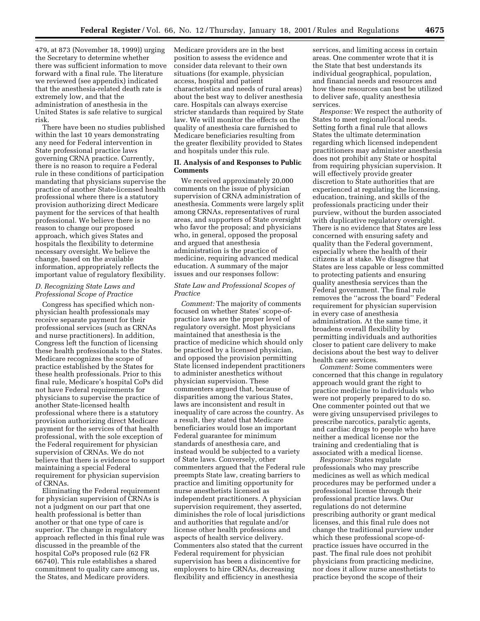479, at 873 (November 18, 1999)) urging the Secretary to determine whether there was sufficient information to move forward with a final rule. The literature we reviewed (see appendix) indicated that the anesthesia-related death rate is extremely low, and that the administration of anesthesia in the United States is safe relative to surgical risk.

There have been no studies published within the last 10 years demonstrating any need for Federal intervention in State professional practice laws governing CRNA practice. Currently, there is no reason to require a Federal rule in these conditions of participation mandating that physicians supervise the practice of another State-licensed health professional where there is a statutory provision authorizing direct Medicare payment for the services of that health professional. We believe there is no reason to change our proposed approach, which gives States and hospitals the flexibility to determine necessary oversight. We believe the change, based on the available information, appropriately reflects the important value of regulatory flexibility.

## *D. Recognizing State Laws and Professional Scope of Practice*

Congress has specified which nonphysician health professionals may receive separate payment for their professional services (such as CRNAs and nurse practitioners). In addition, Congress left the function of licensing these health professionals to the States. Medicare recognizes the scope of practice established by the States for these health professionals. Prior to this final rule, Medicare's hospital CoPs did not have Federal requirements for physicians to supervise the practice of another State-licensed health professional where there is a statutory provision authorizing direct Medicare payment for the services of that health professional, with the sole exception of the Federal requirement for physician supervision of CRNAs. We do not believe that there is evidence to support maintaining a special Federal requirement for physician supervision of CRNAs.

Eliminating the Federal requirement for physician supervision of CRNAs is not a judgment on our part that one health professional is better than another or that one type of care is superior. The change in regulatory approach reflected in this final rule was discussed in the preamble of the hospital CoPs proposed rule (62 FR 66740). This rule establishes a shared commitment to quality care among us, the States, and Medicare providers.

Medicare providers are in the best position to assess the evidence and consider data relevant to their own situations (for example, physician access, hospital and patient characteristics and needs of rural areas) about the best way to deliver anesthesia care. Hospitals can always exercise stricter standards than required by State law. We will monitor the effects on the quality of anesthesia care furnished to Medicare beneficiaries resulting from the greater flexibility provided to States and hospitals under this rule.

### **II. Analysis of and Responses to Public Comments**

We received approximately 20,000 comments on the issue of physician supervision of CRNA administration of anesthesia. Comments were largely split among CRNAs, representatives of rural areas, and supporters of State oversight who favor the proposal; and physicians who, in general, opposed the proposal and argued that anesthesia administration is the practice of medicine, requiring advanced medical education. A summary of the major issues and our responses follow:

### *State Law and Professional Scopes of Practice*

*Comment:* The majority of comments focused on whether States' scope-ofpractice laws are the proper level of regulatory oversight. Most physicians maintained that anesthesia is the practice of medicine which should only be practiced by a licensed physician, and opposed the provision permitting State licensed independent practitioners to administer anesthetics without physician supervision. These commenters argued that, because of disparities among the various States, laws are inconsistent and result in inequality of care across the country. As a result, they stated that Medicare beneficiaries would lose an important Federal guarantee for minimum standards of anesthesia care, and instead would be subjected to a variety of State laws. Conversely, other commenters argued that the Federal rule preempts State law, creating barriers to practice and limiting opportunity for nurse anesthetists licensed as independent practitioners. A physician supervision requirement, they asserted, diminishes the role of local jurisdictions and authorities that regulate and/or license other health professions and aspects of health service delivery. Commenters also stated that the current Federal requirement for physician supervision has been a disincentive for employers to hire CRNAs, decreasing flexibility and efficiency in anesthesia

services, and limiting access in certain areas. One commenter wrote that it is the State that best understands its individual geographical, population, and financial needs and resources and how these resources can best be utilized to deliver safe, quality anesthesia services.

*Response:* We respect the authority of States to meet regional/local needs. Setting forth a final rule that allows States the ultimate determination regarding which licensed independent practitioners may administer anesthesia does not prohibit any State or hospital from requiring physician supervision. It will effectively provide greater discretion to State authorities that are experienced at regulating the licensing, education, training, and skills of the professionals practicing under their purview, without the burden associated with duplicative regulatory oversight. There is no evidence that States are less concerned with ensuring safety and quality than the Federal government, especially where the health of their citizens is at stake. We disagree that States are less capable or less committed to protecting patients and ensuring quality anesthesia services than the Federal government. The final rule removes the ''across the board'' Federal requirement for physician supervision in every case of anesthesia administration. At the same time, it broadens overall flexibility by permitting individuals and authorities closer to patient care delivery to make decisions about the best way to deliver health care services.

*Comment:* Some commenters were concerned that this change in regulatory approach would grant the right to practice medicine to individuals who were not properly prepared to do so. One commenter pointed out that we were giving unsupervised privileges to prescribe narcotics, paralytic agents, and cardiac drugs to people who have neither a medical license nor the training and credentialing that is associated with a medical license.

*Response:* States regulate professionals who may prescribe medicines as well as which medical procedures may be performed under a professional license through their professional practice laws. Our regulations do not determine prescribing authority or grant medical licenses, and this final rule does not change the traditional purview under which these professional scope-ofpractice issues have occurred in the past. The final rule does not prohibit physicians from practicing medicine, nor does it allow nurse anesthetists to practice beyond the scope of their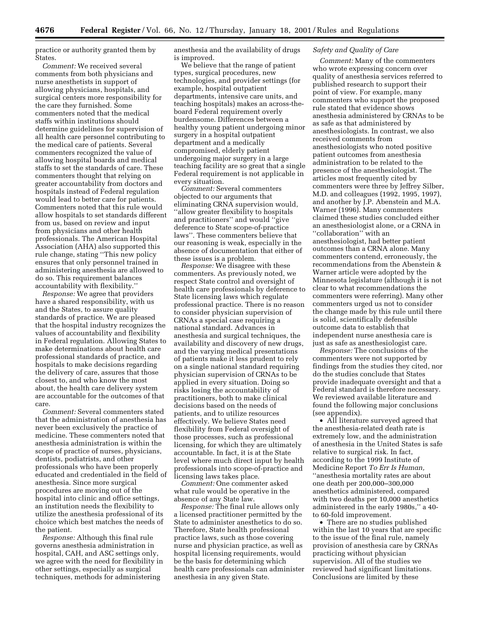practice or authority granted them by States.

*Comment:* We received several comments from both physicians and nurse anesthetists in support of allowing physicians, hospitals, and surgical centers more responsibility for the care they furnished. Some commenters noted that the medical staffs within institutions should determine guidelines for supervision of all health care personnel contributing to the medical care of patients. Several commenters recognized the value of allowing hospital boards and medical staffs to set the standards of care. These commenters thought that relying on greater accountability from doctors and hospitals instead of Federal regulation would lead to better care for patients. Commenters noted that this rule would allow hospitals to set standards different from us, based on review and input from physicians and other health professionals. The American Hospital Association (AHA) also supported this rule change, stating ''This new policy ensures that only personnel trained in administering anesthesia are allowed to do so. This requirement balances accountability with flexibility.''

*Response:* We agree that providers have a shared responsibility, with us and the States, to assure quality standards of practice. We are pleased that the hospital industry recognizes the values of accountability and flexibility in Federal regulation. Allowing States to make determinations about health care professional standards of practice, and hospitals to make decisions regarding the delivery of care, assures that those closest to, and who know the most about, the health care delivery system are accountable for the outcomes of that care.

*Comment:* Several commenters stated that the administration of anesthesia has never been exclusively the practice of medicine. These commenters noted that anesthesia administration is within the scope of practice of nurses, physicians, dentists, podiatrists, and other professionals who have been properly educated and credentialed in the field of anesthesia. Since more surgical procedures are moving out of the hospital into clinic and office settings, an institution needs the flexibility to utilize the anesthesia professional of its choice which best matches the needs of the patient.

*Response:* Although this final rule governs anesthesia administration in hospital, CAH, and ASC settings only, we agree with the need for flexibility in other settings, especially as surgical techniques, methods for administering

anesthesia and the availability of drugs is improved.

We believe that the range of patient types, surgical procedures, new technologies, and provider settings (for example, hospital outpatient departments, intensive care units, and teaching hospitals) makes an across-theboard Federal requirement overly burdensome. Differences between a healthy young patient undergoing minor surgery in a hospital outpatient department and a medically compromised, elderly patient undergoing major surgery in a large teaching facility are so great that a single Federal requirement is not applicable in every situation.

*Comment:* Several commenters objected to our arguments that eliminating CRNA supervision would, ''allow greater flexibility to hospitals and practitioners'' and would ''give deference to State scope-of-practice laws''. These commenters believe that our reasoning is weak, especially in the absence of documentation that either of these issues is a problem.

*Response:* We disagree with these commenters. As previously noted, we respect State control and oversight of health care professionals by deference to State licensing laws which regulate professional practice. There is no reason to consider physician supervision of CRNAs a special case requiring a national standard. Advances in anesthesia and surgical techniques, the availability and discovery of new drugs, and the varying medical presentations of patients make it less prudent to rely on a single national standard requiring physician supervision of CRNAs to be applied in every situation. Doing so risks losing the accountability of practitioners, both to make clinical decisions based on the needs of patients, and to utilize resources effectively. We believe States need flexibility from Federal oversight of those processes, such as professional licensing, for which they are ultimately accountable. In fact, it is at the State level where much direct input by health professionals into scope-of-practice and licensing laws takes place.

*Comment:* One commenter asked what rule would be operative in the absence of any State law.

*Response:* The final rule allows only a licensed practitioner permitted by the State to administer anesthetics to do so. Therefore, State health professional practice laws, such as those covering nurse and physician practice, as well as hospital licensing requirements, would be the basis for determining which health care professionals can administer anesthesia in any given State.

### *Safety and Quality of Care*

*Comment:* Many of the commenters who wrote expressing concern over quality of anesthesia services referred to published research to support their point of view. For example, many commenters who support the proposed rule stated that evidence shows anesthesia administered by CRNAs to be as safe as that administered by anesthesiologists. In contrast, we also received comments from anesthesiologists who noted positive patient outcomes from anesthesia administration to be related to the presence of the anesthesiologist. The articles most frequently cited by commenters were three by Jeffrey Silber, M.D. and colleagues (1992, 1995, 1997), and another by J.P. Abenstein and M.A. Warner (1996). Many commenters claimed these studies concluded either an anesthesiologist alone, or a CRNA in ''collaboration'' with an anesthesiologist, had better patient outcomes than a CRNA alone. Many commenters contend, erroneously, the recommendations from the Abenstein & Warner article were adopted by the Minnesota legislature (although it is not clear to what recommendations the commenters were referring). Many other commenters urged us not to consider the change made by this rule until there is solid, scientifically defensible outcome data to establish that independent nurse anesthesia care is just as safe as anesthesiologist care.

*Response:* The conclusions of the commenters were not supported by findings from the studies they cited, nor do the studies conclude that States provide inadequate oversight and that a Federal standard is therefore necessary. We reviewed available literature and found the following major conclusions (see appendix).

• All literature surveyed agreed that the anesthesia-related death rate is extremely low, and the administration of anesthesia in the United States is safe relative to surgical risk. In fact, according to the 1999 Institute of Medicine Report *To Err Is Human,* ''anesthesia mortality rates are about one death per 200,000–300,000 anesthetics administered, compared with two deaths per 10,000 anesthetics administered in the early 1980s,'' a 40 to 60-fold improvement.

• There are no studies published within the last 10 years that are specific to the issue of the final rule, namely provision of anesthesia care by CRNAs practicing without physician supervision. All of the studies we reviewed had significant limitations. Conclusions are limited by these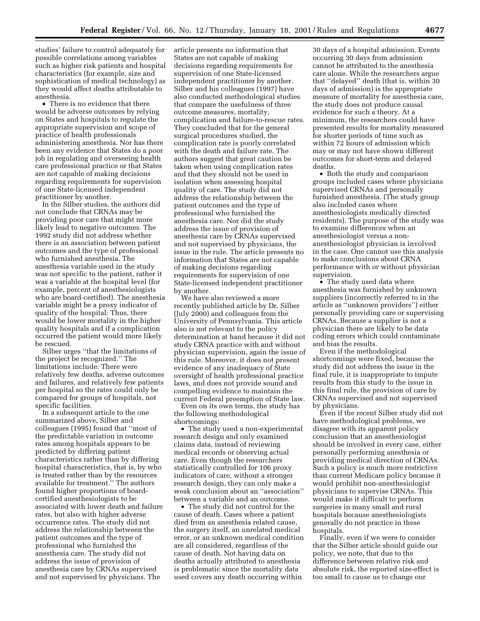studies' failure to control adequately for possible correlations among variables such as higher risk patients and hospital characteristics (for example, size and sophistication of medical technology) as they would affect deaths attributable to anesthesia.

• There is no evidence that there would be adverse outcomes by relying on States and hospitals to regulate the appropriate supervision and scope of practice of health professionals administering anesthesia. Nor has there been any evidence that States do a poor job in regulating and overseeing health care professional practice or that States are not capable of making decisions regarding requirements for supervision of one State-licensed independent practitioner by another.

In the Silber studies, the authors did not conclude that CRNAs may be providing poor care that might more likely lead to negative outcomes. The 1992 study did not address whether there is an association between patient outcomes and the type of professional who furnished anesthesia. The anesthesia variable used in the study was not specific to the patient, rather it was a variable at the hospital level (for example, percent of anesthesiologists who are board-certified). The anesthesia variable might be a proxy indicator of quality of the hospital: Thus, there would be lower mortality in the higher quality hospitals and if a complication occurred the patient would more likely be rescued.

Silber urges ''that the limitations of the project be recognized.'' The limitations include: There were relatively few deaths, adverse outcomes and failures, and relatively few patients per hospital so the rates could only be compared for groups of hospitals, not specific facilities.

In a subsequent article to the one summarized above, Silber and colleagues (1995) found that ''most of the predictable variation in outcome rates among hospitals appears to be predicted by differing patient characteristics rather than by differing hospital characteristics, that is, by who is treated rather than by the resources available for treatment.'' The authors found higher proportions of boardcertified anesthesiologists to be associated with lower death and failure rates, but also with higher adverse occurrence rates. The study did not address the relationship between the patient outcomes and the type of professional who furnished the anesthesia care. The study did not address the issue of provision of anesthesia care by CRNAs supervised and not supervised by physicians. The

article presents no information that States are not capable of making decisions regarding requirements for supervision of one State-licensed independent practitioner by another. Silber and his colleagues (1997) have also conducted methodological studies that compare the usefulness of three outcome measures, mortality, complication and failure-to-rescue rates. They concluded that for the general surgical procedures studied, the complication rate is poorly correlated with the death and failure rate. The authors suggest that great caution be taken when using complication rates and that they should not be used in isolation when assessing hospital quality of care. The study did not address the relationship between the patient outcomes and the type of professional who furnished the anesthesia care. Nor did the study address the issue of provision of anesthesia care by CRNAs supervised and not supervised by physicians, the issue in the rule. The article presents no information that States are not capable of making decisions regarding requirements for supervision of one State-licensed independent practitioner by another.

We have also reviewed a more recently published article by Dr. Silber (July 2000) and colleagues from the University of Pennsylvania. This article also is not relevant to the policy determination at hand because it did not study CRNA practice with and without physician supervision, again the issue of this rule. Moreover, it does not present evidence of any inadequacy of State oversight of health professional practice laws, and does not provide sound and compelling evidence to maintain the current Federal preemption of State law.

Even on its own terms, the study has the following methodological shortcomings:

• The study used a non-experimental research design and only examined claims data, instead of reviewing medical records or observing actual care. Even though the researchers statistically controlled for 106 proxy indicators of care, without a stronger research design, they can only make a weak conclusion about an ''association'' between a variable and an outcome.

• The study did not control for the cause of death. Cases where a patient died from an anesthesia related cause, the surgery itself, an unrelated medical error, or an unknown medical condition are all considered, regardless of the cause of death. Not having data on deaths actually attributed to anesthesia is problematic since the mortality data used covers any death occurring within

30 days of a hospital admission. Events occurring 30 days from admission cannot be attributed to the anesthesia care alone. While the researchers argue that ''delayed'' death (that is, within 30 days of admission) is the appropriate measure of mortality for anesthesia care, the study does not produce causal evidence for such a theory. At a minimum, the researchers could have presented results for mortality measured for shorter periods of time such as within 72 hours of admission which may or may not have shown different outcomes for short-term and delayed deaths.

• Both the study and comparison groups included cases where physicians supervised CRNAs and personally furnished anesthesia. (The study group also included cases where anesthesiologists medically directed residents). The purpose of the study was to examine differences when an anesthesiologist versus a nonanesthesiologist physician is involved in the case. One cannot use this analysis to make conclusions about CRNA performance with or without physician supervision.

• The study used data where anesthesia was furnished by unknown suppliers (incorrectly referred to in the article as ''unknown providers'') either personally providing care or supervising CRNAs. Because a supplier is not a physician there are likely to be data coding errors which could contaminate and bias the results.

Even if the methodological shortcomings were fixed, because the study did not address the issue in the final rule, it is inappropriate to impute results from this study to the issue in this final rule, the provision of care by CRNAs supervised and not supervised by physicians.

Even if the recent Silber study did not have methodological problems, we disagree with its apparent policy conclusion that an anesthesiologist should be involved in every case, either personally performing anesthesia or providing medical direction of CRNAs. Such a policy is much more restrictive than current Medicare policy because it would prohibit non-anesthesiologist physicians to supervise CRNAs. This would make it difficult to perform surgeries in many small and rural hospitals because anesthesiologists generally do not practice in these hospitals.

Finally, even if we were to consider that the Silber article should guide our policy, we note, that due to the difference between relative risk and absolute risk, the reported size-effect is too small to cause us to change our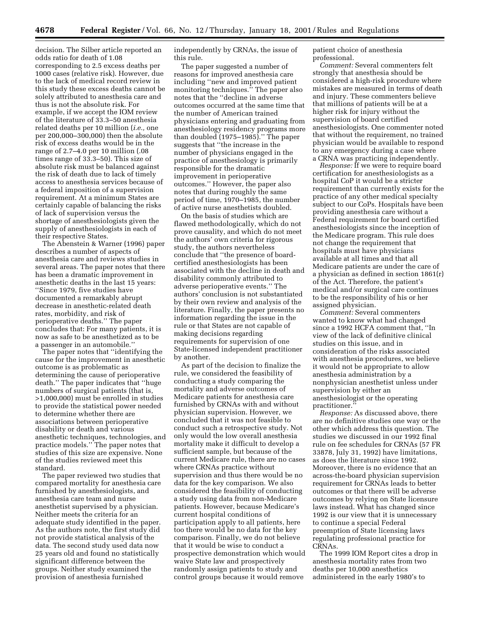decision. The Silber article reported an odds ratio for death of 1.08 corresponding to 2.5 excess deaths per 1000 cases (relative risk). However, due to the lack of medical record review in this study these excess deaths cannot be solely attributed to anesthesia care and thus is not the absolute risk. For example, if we accept the IOM review of the literature of 33.3–50 anesthesia related deaths per 10 million (*i.e.,* one per 200,000–300,000) then the absolute risk of excess deaths would be in the range of 2.7–4.0 per 10 million (.08 times range of 33.3–50). This size of absolute risk must be balanced against the risk of death due to lack of timely access to anesthesia services because of a federal imposition of a supervision requirement. At a minimum States are certainly capable of balancing the risks of lack of supervision versus the shortage of anesthesiologists given the supply of anesthesiologists in each of their respective States.

The Abenstein & Warner (1996) paper describes a number of aspects of anesthesia care and reviews studies in several areas. The paper notes that there has been a dramatic improvement in anesthetic deaths in the last 15 years: ''Since 1979, five studies have documented a remarkably abrupt decrease in anesthetic-related death rates, morbidity, and risk of perioperative deaths.'' The paper concludes that: For many patients, it is now as safe to be anesthetized as to be a passenger in an automobile.''

The paper notes that ''identifying the cause for the improvement in anesthetic outcome is as problematic as determining the cause of perioperative death.'' The paper indicates that ''huge numbers of surgical patients (that is, >1,000,000) must be enrolled in studies to provide the statistical power needed to determine whether there are associations between perioperative disability or death and various anesthetic techniques, technologies, and practice models.'' The paper notes that studies of this size are expensive. None of the studies reviewed meet this standard.

The paper reviewed two studies that compared mortality for anesthesia care furnished by anesthesiologists, and anesthesia care team and nurse anesthetist supervised by a physician. Neither meets the criteria for an adequate study identified in the paper. As the authors note, the first study did not provide statistical analysis of the data. The second study used data now 25 years old and found no statistically significant difference between the groups. Neither study examined the provision of anesthesia furnished

independently by CRNAs, the issue of this rule.

The paper suggested a number of reasons for improved anesthesia care including ''new and improved patient monitoring techniques." The paper also notes that the ''decline in adverse outcomes occurred at the same time that the number of American trained physicians entering and graduating from anesthesiology residency programs more than doubled (1975–1985).'' The paper suggests that ''the increase in the number of physicians engaged in the practice of anesthesiology is primarily responsible for the dramatic improvement in perioperative outcomes.'' However, the paper also notes that during roughly the same period of time, 1970–1985, the number of active nurse anesthetists doubled.

On the basis of studies which are flawed methodologically, which do not prove causality, and which do not meet the authors' own criteria for rigorous study, the authors nevertheless conclude that ''the presence of boardcertified anesthesiologists has been associated with the decline in death and disability commonly attributed to adverse perioperative events.'' The authors' conclusion is not substantiated by their own review and analysis of the literature. Finally, the paper presents no information regarding the issue in the rule or that States are not capable of making decisions regarding requirements for supervision of one State-licensed independent practitioner by another.

As part of the decision to finalize the rule, we considered the feasibility of conducting a study comparing the mortality and adverse outcomes of Medicare patients for anesthesia care furnished by CRNAs with and without physician supervision. However, we concluded that it was not feasible to conduct such a retrospective study. Not only would the low overall anesthesia mortality make it difficult to develop a sufficient sample, but because of the current Medicare rule, there are no cases where CRNAs practice without supervision and thus there would be no data for the key comparison. We also considered the feasibility of conducting a study using data from non-Medicare patients. However, because Medicare's current hospital conditions of participation apply to all patients, here too there would be no data for the key comparison. Finally, we do not believe that it would be wise to conduct a prospective demonstration which would waive State law and prospectively randomly assign patients to study and control groups because it would remove

patient choice of anesthesia professional.

*Comment:* Several commenters felt strongly that anesthesia should be considered a high-risk procedure where mistakes are measured in terms of death and injury. These commenters believe that millions of patients will be at a higher risk for injury without the supervision of board certified anesthesiologists. One commenter noted that without the requirement, no trained physician would be available to respond to any emergency during a case where a CRNA was practicing independently.

*Response:* If we were to require board certification for anesthesiologists as a hospital CoP it would be a stricter requirement than currently exists for the practice of any other medical specialty subject to our CoPs. Hospitals have been providing anesthesia care without a Federal requirement for board certified anesthesiologists since the inception of the Medicare program. This rule does not change the requirement that hospitals must have physicians available at all times and that all Medicare patients are under the care of a physician as defined in section 1861(r) of the Act. Therefore, the patient's medical and/or surgical care continues to be the responsibility of his or her assigned physician.

*Comment:* Several commenters wanted to know what had changed since a 1992 HCFA comment that, ''In view of the lack of definitive clinical studies on this issue, and in consideration of the risks associated with anesthesia procedures, we believe it would not be appropriate to allow anesthesia administration by a nonphysician anesthetist unless under supervision by either an anesthesiologist or the operating practitioner.''

*Response:* As discussed above, there are no definitive studies one way or the other which address this question. The studies we discussed in our 1992 final rule on fee schedules for CRNAs (57 FR 33878, July 31, 1992) have limitations, as does the literature since 1992. Moreover, there is no evidence that an across-the-board physician supervision requirement for CRNAs leads to better outcomes or that there will be adverse outcomes by relying on State licensure laws instead. What has changed since 1992 is our view that it is unnecessary to continue a special Federal preemption of State licensing laws regulating professional practice for CRNAs.

The 1999 IOM Report cites a drop in anesthesia mortality rates from two deaths per 10,000 anesthetics administered in the early 1980's to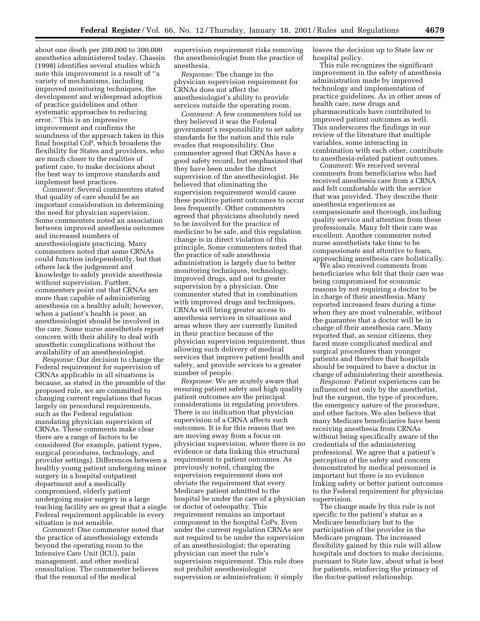about one death per 200,000 to 300,000 anesthetics administered today. Chassin (1998) identifies several studies which note this improvement is a result of ''a variety of mechanisms, including improved monitoring techniques, the development and widespread adoption of practice guidelines and other systematic approaches to reducing error.'' This is an impressive improvement and confirms the soundness of the approach taken in this final hospital CoP, which broadens the flexibility for States and providers, who are much closer to the realities of patient care, to make decisions about the best way to improve standards and implement best practices.

*Comment:* Several commenters stated that quality of care should be an important consideration in determining the need for physician supervision. Some commenters noted an association between improved anesthesia outcomes and increased numbers of anesthesiologists practicing. Many commenters noted that some CRNAs could function independently, but that others lack the judgement and knowledge to safely provide anesthesia without supervision. Further, commenters point out that CRNAs are more than capable of administering anesthesia on a healthy adult; however, when a patient's health is poor, an anesthesiologist should be involved in the care. Some nurse anesthetists report concern with their ability to deal with anesthetic complications without the availability of an anesthesiologist.

*Response:* Our decision to change the Federal requirement for supervision of CRNAs applicable in all situations is because, as stated in the preamble of the proposed rule, we are committed to changing current regulations that focus largely on procedural requirements, such as the Federal regulation mandating physician supervision of CRNAs. These comments make clear there are a range of factors to be considered (for example, patient types, surgical procedures, technology, and provider settings). Differences between a healthy young patient undergoing minor surgery in a hospital outpatient department and a medically compromised, elderly patient undergoing major surgery in a large teaching facility are so great that a single Federal requirement applicable in every situation is not sensible.

*Comment:* One commenter noted that the practice of anesthesiology extends beyond the operating room to the Intensive Care Unit (ICU), pain management, and other medical consultation. The commenter believes that the removal of the medical

supervision requirement risks removing the anesthesiologist from the practice of anesthesia.

*Response:* The change in the physician supervision requirement for CRNAs does not affect the anesthesiologist's ability to provide services outside the operating room.

*Comment:* A few commenters told us they believed it was the Federal government's responsibility to set safety standards for the nation and this rule evades that responsibility. One commenter agreed that CRNAs have a good safety record, but emphasized that they have been under the direct supervision of the anesthesiologist. He believed that eliminating the supervision requirement would cause these positive patient outcomes to occur less frequently. Other commenters agreed that physicians absolutely need to be involved for the practice of medicine to be safe, and this regulation change is in direct violation of this principle. Some commenters noted that the practice of safe anesthesia administration is largely due to better monitoring techniques, technology, improved drugs, and not to greater supervision by a physician. One commenter stated that in combination with improved drugs and techniques, CRNAs will bring greater access to anesthesia services in situations and areas where they are currently limited in their practice because of the physician supervision requirement, thus allowing such delivery of medical services that improve patient health and safety, and provide services to a greater number of people.

*Response:* We are acutely aware that ensuring patient safety and high quality patient outcomes are the principal considerations in regulating providers. There is no indication that physician supervision of a CRNA affects such outcomes. It is for this reason that we are moving away from a focus on physician supervision, where there is no evidence or data linking this structural requirement to patient outcomes. As previously noted, changing the supervision requirement does not obviate the requirement that every Medicare patient admitted to the hospital be under the care of a physician or doctor of osteopathy. This requirement remains an important component in the hospital CoPs. Even under the current regulation CRNAs are not required to be under the supervision of an anesthesiologist; the operating physician can meet the rule's supervision requirement. This rule does not prohibit anesthesiologist supervision or administration; it simply

leaves the decision up to State law or hospital policy.

This rule recognizes the significant improvement in the safety of anesthesia administration made by improved technology and implementation of practice guidelines. As in other areas of health care, new drugs and pharmaceuticals have contributed to improved patient outcomes as well. This underscores the findings in our review of the literature that multiple variables, some interacting in combination with each other, contribute to anesthesia-related patient outcomes.

*Comment:* We received several comments from beneficiaries who had received anesthesia care from a CRNA and felt comfortable with the service that was provided. They describe their anesthesia experiences as compassionate and thorough, including quality service and attention from these professionals. Many felt their care was excellent. Another commenter noted nurse anesthetists take time to be compassionate and attentive to fears, approaching anesthesia care holistically.

We also received comments from beneficiaries who felt that their care was being compromised for economic reasons by not requiring a doctor to be in charge of their anesthesia. Many reported increased fears during a time when they are most vulnerable, without the guarantee that a doctor will be in charge of their anesthesia care. Many reported that, as senior citizens, they faced more complicated medical and surgical procedures than younger patients and therefore that hospitals should be required to have a doctor in charge of administering their anesthesia.

*Response:* Patient experiences can be influenced not only by the anesthetist, but the surgeon, the type of procedure, the emergency nature of the procedure, and other factors. We also believe that many Medicare beneficiaries have been receiving anesthesia from CRNAs without being specifically aware of the credentials of the administering professional. We agree that a patient's perception of the safety and concern demonstrated by medical personnel is important but there is no evidence linking safety or better patient outcomes to the Federal requirement for physician supervision.

The change made by this rule is not specific to the patient's status as a Medicare beneficiary but to the participation of the provider in the Medicare program. The increased flexibility gained by this rule will allow hospitals and doctors to make decisions, pursuant to State law, about what is best for patients, reinforcing the primacy of the doctor-patient relationship.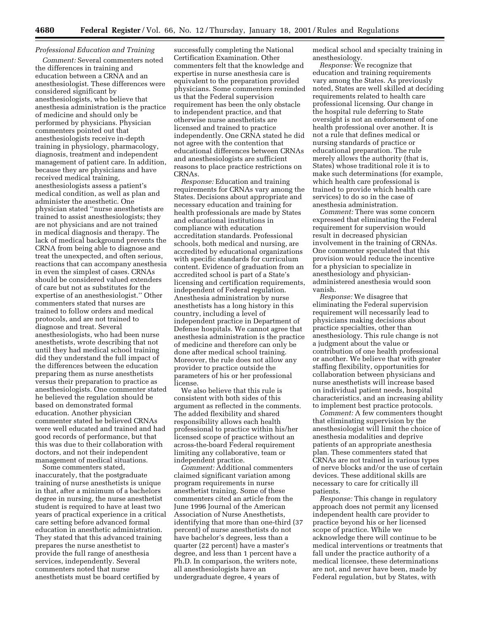# *Professional Education and Training*

*Comment:* Several commenters noted the differences in training and education between a CRNA and an anesthesiologist. These differences were considered significant by anesthesiologists, who believe that anesthesia administration is the practice of medicine and should only be performed by physicians. Physician commenters pointed out that anesthesiologists receive in-depth training in physiology, pharmacology, diagnosis, treatment and independent management of patient care. In addition, because they are physicians and have received medical training, anesthesiologists assess a patient's medical condition, as well as plan and administer the anesthetic. One physician stated ''nurse anesthetists are trained to assist anesthesiologists; they are not physicians and are not trained in medical diagnosis and therapy. The lack of medical background prevents the CRNA from being able to diagnose and treat the unexpected, and often serious, reactions that can accompany anesthesia in even the simplest of cases. CRNAs should be considered valued extenders of care but not as substitutes for the expertise of an anesthesiologist.'' Other commenters stated that nurses are trained to follow orders and medical protocols, and are not trained to diagnose and treat. Several anesthesiologists, who had been nurse anesthetists, wrote describing that not until they had medical school training did they understand the full impact of the differences between the education preparing them as nurse anesthetists versus their preparation to practice as anesthesiologists. One commenter stated he believed the regulation should be based on demonstrated formal education. Another physician commenter stated he believed CRNAs were well educated and trained and had good records of performance, but that this was due to their collaboration with doctors, and not their independent management of medical situations.

Some commenters stated, inaccurately, that the postgraduate training of nurse anesthetists is unique in that, after a minimum of a bachelors degree in nursing, the nurse anesthetist student is required to have at least two years of practical experience in a critical care setting before advanced formal education in anesthetic administration. They stated that this advanced training prepares the nurse anesthetist to provide the full range of anesthesia services, independently. Several commenters noted that nurse anesthetists must be board certified by

successfully completing the National Certification Examination. Other commenters felt that the knowledge and expertise in nurse anesthesia care is equivalent to the preparation provided physicians. Some commenters reminded us that the Federal supervision requirement has been the only obstacle to independent practice, and that otherwise nurse anesthetists are licensed and trained to practice independently. One CRNA stated he did not agree with the contention that educational differences between CRNAs and anesthesiologists are sufficient reasons to place practice restrictions on CRNAs.

*Response:* Education and training requirements for CRNAs vary among the States. Decisions about appropriate and necessary education and training for health professionals are made by States and educational institutions in compliance with education accreditation standards. Professional schools, both medical and nursing, are accredited by educational organizations with specific standards for curriculum content. Evidence of graduation from an accredited school is part of a State's licensing and certification requirements, independent of Federal regulation. Anesthesia administration by nurse anesthetists has a long history in this country, including a level of independent practice in Department of Defense hospitals. We cannot agree that anesthesia administration is the practice of medicine and therefore can only be done after medical school training. Moreover, the rule does not allow any provider to practice outside the parameters of his or her professional license.

We also believe that this rule is consistent with both sides of this argument as reflected in the comments. The added flexibility and shared responsibility allows each health professional to practice within his/her licensed scope of practice without an across-the-board Federal requirement limiting any collaborative, team or independent practice.

*Comment:* Additional commenters claimed significant variation among program requirements in nurse anesthetist training. Some of these commenters cited an article from the June 1996 Journal of the American Association of Nurse Anesthetists, identifying that more than one-third (37 percent) of nurse anesthetists do not have bachelor's degrees, less than a quarter (22 percent) have a master's degree, and less than 1 percent have a Ph.D. In comparison, the writers note, all anesthesiologists have an undergraduate degree, 4 years of

medical school and specialty training in anesthesiology.

*Response:* We recognize that education and training requirements vary among the States. As previously noted, States are well skilled at deciding requirements related to health care professional licensing. Our change in the hospital rule deferring to State oversight is not an endorsement of one health professional over another. It is not a rule that defines medical or nursing standards of practice or educational preparation. The rule merely allows the authority (that is, States) whose traditional role it is to make such determinations (for example, which health care professional is trained to provide which health care services) to do so in the case of anesthesia administration.

*Comment:* There was some concern expressed that eliminating the Federal requirement for supervision would result in decreased physician involvement in the training of CRNAs. One commenter speculated that this provision would reduce the incentive for a physician to specialize in anesthesiology and physicianadministered anesthesia would soon vanish.

*Response:* We disagree that eliminating the Federal supervision requirement will necessarily lead to physicians making decisions about practice specialties, other than anesthesiology. This rule change is not a judgment about the value or contribution of one health professional or another. We believe that with greater staffing flexibility, opportunities for collaboration between physicians and nurse anesthetists will increase based on individual patient needs, hospital characteristics, and an increasing ability to implement best practice protocols.

*Comment:* A few commenters thought that eliminating supervision by the anesthesiologist will limit the choice of anesthesia modalities and deprive patients of an appropriate anesthesia plan. These commenters stated that CRNAs are not trained in various types of nerve blocks and/or the use of certain devices. These additional skills are necessary to care for critically ill patients.

*Response:* This change in regulatory approach does not permit any licensed independent health care provider to practice beyond his or her licensed scope of practice. While we acknowledge there will continue to be medical interventions or treatments that fall under the practice authority of a medical licensee, these determinations are not, and never have been, made by Federal regulation, but by States, with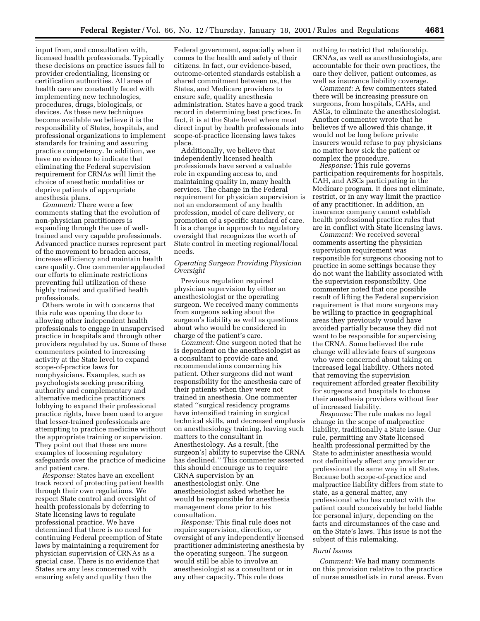input from, and consultation with, licensed health professionals. Typically these decisions on practice issues fall to provider credentialing, licensing or certification authorities. All areas of health care are constantly faced with implementing new technologies, procedures, drugs, biologicals, or devices. As these new techniques become available we believe it is the responsibility of States, hospitals, and professional organizations to implement standards for training and assuring practice competency. In addition, we have no evidence to indicate that eliminating the Federal supervision requirement for CRNAs will limit the choice of anesthetic modalities or deprive patients of appropriate anesthesia plans.

*Comment:* There were a few comments stating that the evolution of non-physician practitioners is expanding through the use of welltrained and very capable professionals. Advanced practice nurses represent part of the movement to broaden access, increase efficiency and maintain health care quality. One commenter applauded our efforts to eliminate restrictions preventing full utilization of these highly trained and qualified health professionals.

Others wrote in with concerns that this rule was opening the door to allowing other independent health professionals to engage in unsupervised practice in hospitals and through other providers regulated by us. Some of these commenters pointed to increasing activity at the State level to expand scope-of-practice laws for nonphysicians. Examples, such as psychologists seeking prescribing authority and complementary and alternative medicine practitioners lobbying to expand their professional practice rights, have been used to argue that lesser-trained professionals are attempting to practice medicine without the appropriate training or supervision. They point out that these are more examples of loosening regulatory safeguards over the practice of medicine and patient care.

*Response:* States have an excellent track record of protecting patient health through their own regulations. We respect State control and oversight of health professionals by deferring to State licensing laws to regulate professional practice. We have determined that there is no need for continuing Federal preemption of State laws by maintaining a requirement for physician supervision of CRNAs as a special case. There is no evidence that States are any less concerned with ensuring safety and quality than the

Federal government, especially when it comes to the health and safety of their citizens. In fact, our evidence-based, outcome-oriented standards establish a shared commitment between us, the States, and Medicare providers to ensure safe, quality anesthesia administration. States have a good track record in determining best practices. In fact, it is at the State level where most direct input by health professionals into scope-of-practice licensing laws takes place.

Additionally, we believe that independently licensed health professionals have served a valuable role in expanding access to, and maintaining quality in, many health services. The change in the Federal requirement for physician supervision is not an endorsement of any health profession, model of care delivery, or promotion of a specific standard of care. It is a change in approach to regulatory oversight that recognizes the worth of State control in meeting regional/local needs.

# *Operating Surgeon Providing Physician Oversight*

Previous regulation required physician supervision by either an anesthesiologist or the operating surgeon. We received many comments from surgeons asking about the surgeon's liability as well as questions about who would be considered in charge of the patient's care.

*Comment:* One surgeon noted that he is dependent on the anesthesiologist as a consultant to provide care and recommendations concerning his patient. Other surgeons did not want responsibility for the anesthesia care of their patients when they were not trained in anesthesia. One commenter stated ''surgical residency programs have intensified training in surgical technical skills, and decreased emphasis on anesthesiology training, leaving such matters to the consultant in Anesthesiology. As a result, [the surgeon's] ability to supervise the CRNA has declined.'' This commenter asserted this should encourage us to require CRNA supervision by an anesthesiologist only. One anesthesiologist asked whether he would be responsible for anesthesia management done prior to his consultation.

*Response:* This final rule does not require supervision, direction, or oversight of any independently licensed practitioner administering anesthesia by the operating surgeon. The surgeon would still be able to involve an anesthesiologist as a consultant or in any other capacity. This rule does

nothing to restrict that relationship. CRNAs, as well as anesthesiologists, are accountable for their own practices, the care they deliver, patient outcomes, as well as insurance liability coverage.

*Comment:* A few commenters stated there will be increasing pressure on surgeons, from hospitals, CAHs, and ASCs, to eliminate the anesthesiologist. Another commenter wrote that he believes if we allowed this change, it would not be long before private insurers would refuse to pay physicians no matter how sick the patient or complex the procedure.

*Response:* This rule governs participation requirements for hospitals, CAH, and ASCs participating in the Medicare program. It does not eliminate, restrict, or in any way limit the practice of any practitioner. In addition, an insurance company cannot establish health professional practice rules that are in conflict with State licensing laws.

*Comment:* We received several comments asserting the physician supervision requirement was responsible for surgeons choosing not to practice in some settings because they do not want the liability associated with the supervision responsibility. One commenter noted that one possible result of lifting the Federal supervision requirement is that more surgeons may be willing to practice in geographical areas they previously would have avoided partially because they did not want to be responsible for supervising the CRNA. Some believed the rule change will alleviate fears of surgeons who were concerned about taking on increased legal liability. Others noted that removing the supervision requirement afforded greater flexibility for surgeons and hospitals to choose their anesthesia providers without fear of increased liability.

*Response:* The rule makes no legal change in the scope of malpractice liability, traditionally a State issue. Our rule, permitting any State licensed health professional permitted by the State to administer anesthesia would not definitively affect any provider or professional the same way in all States. Because both scope-of-practice and malpractice liability differs from state to state, as a general matter, any professional who has contact with the patient could conceivably be held liable for personal injury, depending on the facts and circumstances of the case and on the State's laws. This issue is not the subject of this rulemaking.

#### *Rural Issues*

*Comment:* We had many comments on this provision relative to the practice of nurse anesthetists in rural areas. Even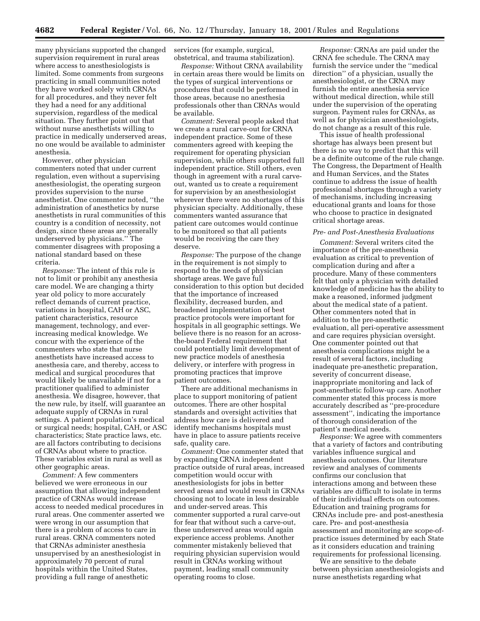many physicians supported the changed supervision requirement in rural areas where access to anesthesiologists is limited. Some comments from surgeons practicing in small communities noted they have worked solely with CRNAs for all procedures, and they never felt they had a need for any additional supervision, regardless of the medical situation. They further point out that without nurse anesthetists willing to practice in medically underserved areas, no one would be available to administer anesthesia.

However, other physician commenters noted that under current regulation, even without a supervising anesthesiologist, the operating surgeon provides supervision to the nurse anesthetist. One commenter noted, ''the administration of anesthetics by nurse anesthetists in rural communities of this country is a condition of necessity, not design, since these areas are generally underserved by physicians.'' The commenter disagrees with proposing a national standard based on these criteria.

*Response:* The intent of this rule is not to limit or prohibit any anesthesia care model. We are changing a thirty year old policy to more accurately reflect demands of current practice, variations in hospital, CAH or ASC, patient characteristics, resource management, technology, and everincreasing medical knowledge. We concur with the experience of the commenters who state that nurse anesthetists have increased access to anesthesia care, and thereby, access to medical and surgical procedures that would likely be unavailable if not for a practitioner qualified to administer anesthesia. We disagree, however, that the new rule, by itself, will guarantee an adequate supply of CRNAs in rural settings. A patient population's medical or surgical needs; hospital, CAH, or ASC characteristics; State practice laws, etc. are all factors contributing to decisions of CRNAs about where to practice. These variables exist in rural as well as other geographic areas.

*Comment:* A few commenters believed we were erroneous in our assumption that allowing independent practice of CRNAs would increase access to needed medical procedures in rural areas. One commenter asserted we were wrong in our assumption that there is a problem of access to care in rural areas. CRNA commenters noted that CRNAs administer anesthesia unsupervised by an anesthesiologist in approximately 70 percent of rural hospitals within the United States, providing a full range of anesthetic

services (for example, surgical, obstetrical, and trauma stabilization).

*Response:* Without CRNA availability in certain areas there would be limits on the types of surgical interventions or procedures that could be performed in those areas, because no anesthesia professionals other than CRNAs would be available.

*Comment:* Several people asked that we create a rural carve-out for CRNA independent practice. Some of these commenters agreed with keeping the requirement for operating physician supervision, while others supported full independent practice. Still others, even though in agreement with a rural carveout, wanted us to create a requirement for supervision by an anesthesiologist wherever there were no shortages of this physician specialty. Additionally, these commenters wanted assurance that patient care outcomes would continue to be monitored so that all patients would be receiving the care they deserve.

*Response:* The purpose of the change in the requirement is not simply to respond to the needs of physician shortage areas. We gave full consideration to this option but decided that the importance of increased flexibility, decreased burden, and broadened implementation of best practice protocols were important for hospitals in all geographic settings. We believe there is no reason for an acrossthe-board Federal requirement that could potentially limit development of new practice models of anesthesia delivery, or interfere with progress in promoting practices that improve patient outcomes.

There are additional mechanisms in place to support monitoring of patient outcomes. There are other hospital standards and oversight activities that address how care is delivered and identify mechanisms hospitals must have in place to assure patients receive safe, quality care.

*Comment:* One commenter stated that by expanding CRNA independent practice outside of rural areas, increased competition would occur with anesthesiologists for jobs in better served areas and would result in CRNAs choosing not to locate in less desirable and under-served areas. This commenter supported a rural carve-out for fear that without such a carve-out, these underserved areas would again experience access problems. Another commenter mistakenly believed that requiring physician supervision would result in CRNAs working without payment, leading small community operating rooms to close.

*Response:* CRNAs are paid under the CRNA fee schedule. The CRNA may furnish the service under the ''medical direction'' of a physician, usually the anesthesiologist, or the CRNA may furnish the entire anesthesia service without medical direction, while still under the supervision of the operating surgeon. Payment rules for CRNAs, as well as for physician anesthesiologists, do not change as a result of this rule.

This issue of health professional shortage has always been present but there is no way to predict that this will be a definite outcome of the rule change. The Congress, the Department of Health and Human Services, and the States continue to address the issue of health professional shortages through a variety of mechanisms, including increasing educational grants and loans for those who choose to practice in designated critical shortage areas.

### *Pre- and Post-Anesthesia Evaluations*

*Comment:* Several writers cited the importance of the pre-anesthesia evaluation as critical to prevention of complication during and after a procedure. Many of these commenters felt that only a physician with detailed knowledge of medicine has the ability to make a reasoned, informed judgment about the medical state of a patient. Other commenters noted that in addition to the pre-anesthetic evaluation, all peri-operative assessment and care requires physician oversight. One commenter pointed out that anesthesia complications might be a result of several factors, including inadequate pre-anesthetic preparation, severity of concurrent disease, inappropriate monitoring and lack of post-anesthetic follow-up care. Another commenter stated this process is more accurately described as ''pre-procedure assessment'', indicating the importance of thorough consideration of the patient's medical needs.

*Response:* We agree with commenters that a variety of factors and contributing variables influence surgical and anesthesia outcomes. Our literature review and analyses of comments confirms our conclusion that interactions among and between these variables are difficult to isolate in terms of their individual effects on outcomes. Education and training programs for CRNAs include pre- and post-anesthesia care. Pre- and post-anesthesia assessment and monitoring are scope-ofpractice issues determined by each State as it considers education and training requirements for professional licensing.

We are sensitive to the debate between physician anesthesiologists and nurse anesthetists regarding what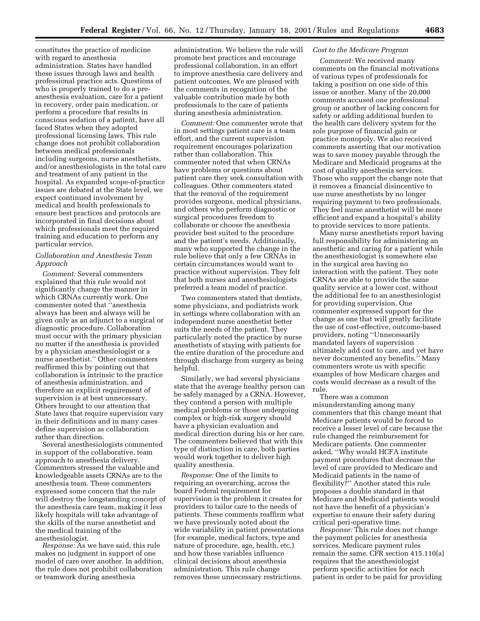constitutes the practice of medicine with regard to anesthesia administration. States have handled these issues through laws and health professional practice acts. Questions of who is properly trained to do a preanesthesia evaluation, care for a patient in recovery, order pain medication, or perform a procedure that results in conscious sedation of a patient, have all faced States when they adopted professional licensing laws. This rule change does not prohibit collaboration between medical professionals including surgeons, nurse anesthetists, and/or anesthesiologists in the total care and treatment of any patient in the hospital. As expanded scope-of-practice issues are debated at the State level, we expect continued involvement by medical and health professionals to ensure best practices and protocols are incorporated in final decisions about which professionals meet the required training and education to perform any particular service.

### *Collaboration and Anesthesia Team Approach*

*Comment:* Several commenters explained that this rule would not significantly change the manner in which CRNAs currently work. One commenter noted that ''anesthesia always has been and always will be given only as an adjunct to a surgical or diagnostic procedure. Collaboration must occur with the primary physician no matter if the anesthesia is provided by a physician anesthesiologist or a nurse anesthetist.'' Other commenters reaffirmed this by pointing out that collaboration is intrinsic to the practice of anesthesia administration, and therefore an explicit requirement of supervision is at best unnecessary. Others brought to our attention that State laws that require supervision vary in their definitions and in many cases define supervision as collaboration rather than direction.

Several anesthesiologists commented in support of the collaborative, team approach to anesthesia delivery. Commenters stressed the valuable and knowledgeable assets CRNAs are to the anesthesia team. These commenters expressed some concern that the rule will destroy the longstanding concept of the anesthesia care team, making it less likely hospitals will take advantage of the skills of the nurse anesthetist and the medical training of the anesthesiologist.

*Response:* As we have said, this rule makes no judgment in support of one model of care over another. In addition, the rule does not prohibit collaboration or teamwork during anesthesia

administration. We believe the rule will promote best practices and encourage professional collaboration, in an effort to improve anesthesia care delivery and patient outcomes. We are pleased with the comments in recognition of the valuable contribution made by both professionals to the care of patients during anesthesia administration.

*Comment:* One commenter wrote that in most settings patient care is a team effort, and the current supervision requirement encourages polarization rather than collaboration. This commenter noted that when CRNAs have problems or questions about patient care they seek consultation with colleagues. Other commenters stated that the removal of the requirement provides surgeons, medical physicians, and others who perform diagnostic or surgical procedures freedom to collaborate or choose the anesthesia provider best suited to the procedure and the patient's needs. Additionally, many who supported the change in the rule believe that only a few CRNAs in certain circumstances would want to practice without supervision. They felt that both nurses and anesthesiologists preferred a team model of practice.

Two commenters stated that dentists, some physicians, and podiatrists work in settings where collaboration with an independent nurse anesthetist better suits the needs of the patient. They particularly noted the practice by nurse anesthetists of staying with patients for the entire duration of the procedure and through discharge from surgery as being helpful.

Similarly, we had several physicians state that the average healthy person can be safely managed by a CRNA. However, they contend a person with multiple medical problems or those undergoing complex or high-risk surgery should have a physician evaluation and medical direction during his or her care. The commenters believed that with this type of distinction in care, both parties would work together to deliver high quality anesthesia.

*Response:* One of the limits to requiring an overarching, across the board Federal requirement for supervision is the problem it creates for providers to tailor care to the needs of patients. These comments reaffirm what we have previously noted about the wide variability in patient presentations (for example, medical factors, type and nature of procedure, age, health, etc.) and how these variables influence clinical decisions about anesthesia administration. This rule change removes these unnecessary restrictions.

# *Cost to the Medicare Program*

*Comment:* We received many comments on the financial motivations of various types of professionals for taking a position on one side of this issue or another. Many of the 20,000 comments accused one professional group or another of lacking concern for safety or adding additional burden to the health care delivery system for the sole purpose of financial gain or practice monopoly. We also received comments asserting that our motivation was to save money payable through the Medicare and Medicaid programs at the cost of quality anesthesia services. Those who support the change note that it removes a financial disincentive to use nurse anesthetists by no longer requiring payment to two professionals. They feel nurse anesthetist will be more efficient and expand a hospital's ability to provide services to more patients.

Many nurse anesthetists report having full responsibility for administering an anesthetic and caring for a patient while the anesthesiologist is somewhere else in the surgical area having no interaction with the patient. They note CRNAs are able to provide the same quality service at a lower cost, without the additional fee to an anesthesiologist for providing supervision. One commenter expressed support for the change as one that will greatly facilitate the use of cost-effective, outcome-based providers, noting ''Unnecessarily mandated layers of supervision ultimately add cost to care, and yet have never documented any benefits.'' Many commenters wrote us with specific examples of how Medicare charges and costs would decrease as a result of the rule.

There was a common misunderstanding among many commenters that this change meant that Medicare patients would be forced to receive a lesser level of care because the rule changed the reimbursement for Medicare patients. One commenter asked, ''Why would HCFA institute payment procedures that decrease the level of care provided to Medicare and Medicaid patients in the name of flexibility?'' Another stated this rule proposes a double standard in that Medicare and Medicaid patients would not have the benefit of a physician's expertise to ensure their safety during critical peri-operative time.

*Response:* This rule does not change the payment policies for anesthesia services. Medicare payment rules remain the same. CFR section 415.110(a) requires that the anesthesiologist perform specific activities for each patient in order to be paid for providing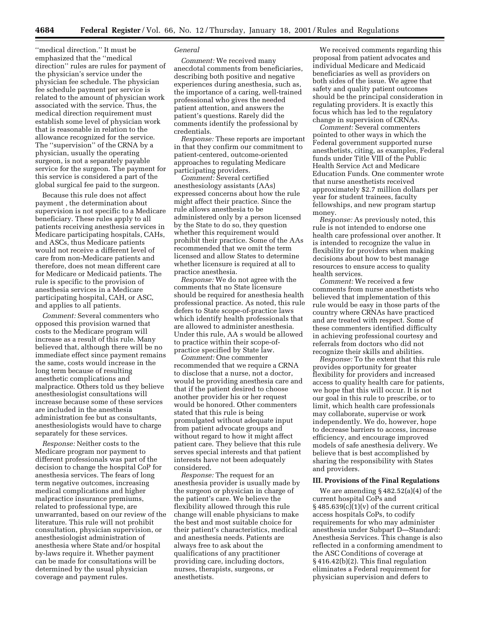''medical direction.'' It must be emphasized that the ''medical direction'' rules are rules for payment of the physician's service under the physician fee schedule. The physician fee schedule payment per service is related to the amount of physician work associated with the service. Thus, the medical direction requirement must establish some level of physician work that is reasonable in relation to the allowance recognized for the service. The ''supervision'' of the CRNA by a physician, usually the operating surgeon, is not a separately payable service for the surgeon. The payment for this service is considered a part of the global surgical fee paid to the surgeon.

Because this rule does not affect payment , the determination about supervision is not specific to a Medicare beneficiary. These rules apply to all patients receiving anesthesia services in Medicare participating hospitals, CAHs, and ASCs, thus Medicare patients would not receive a different level of care from non-Medicare patients and therefore, does not mean different care for Medicare or Medicaid patients. The rule is specific to the provision of anesthesia services in a Medicare participating hospital, CAH, or ASC, and applies to all patients.

*Comment:* Several commenters who opposed this provision warned that costs to the Medicare program will increase as a result of this rule. Many believed that, although there will be no immediate effect since payment remains the same, costs would increase in the long term because of resulting anesthetic complications and malpractice. Others told us they believe anesthesiologist consultations will increase because some of these services are included in the anesthesia administration fee but as consultants, anesthesiologists would have to charge separately for these services.

*Response:* Neither costs to the Medicare program nor payment to different professionals was part of the decision to change the hospital CoP for anesthesia services. The fears of long term negative outcomes, increasing medical complications and higher malpractice insurance premiums, related to professional type, are unwarranted, based on our review of the literature. This rule will not prohibit consultation, physician supervision, or anesthesiologist administration of anesthesia where State and/or hospital by-laws require it. Whether payment can be made for consultations will be determined by the usual physician coverage and payment rules.

### *General*

*Comment:* We received many anecdotal comments from beneficiaries, describing both positive and negative experiences during anesthesia, such as, the importance of a caring, well-trained professional who gives the needed patient attention, and answers the patient's questions. Rarely did the comments identify the professional by credentials.

*Response:* These reports are important in that they confirm our commitment to patient-centered, outcome-oriented approaches to regulating Medicare participating providers.

*Comment:* Several certified anesthesiology assistants (AAs) expressed concerns about how the rule might affect their practice. Since the rule allows anesthesia to be administered only by a person licensed by the State to do so, they question whether this requirement would prohibit their practice. Some of the AAs recommended that we omit the term licensed and allow States to determine whether licensure is required at all to practice anesthesia.

*Response:* We do not agree with the comments that no State licensure should be required for anesthesia health professional practice. As noted, this rule defers to State scope-of-practice laws which identify health professionals that are allowed to administer anesthesia. Under this rule, AA s would be allowed to practice within their scope-ofpractice specified by State law.

*Comment:* One commenter recommended that we require a CRNA to disclose that a nurse, not a doctor, would be providing anesthesia care and that if the patient desired to choose another provider his or her request would be honored. Other commenters stated that this rule is being promulgated without adequate input from patient advocate groups and without regard to how it might affect patient care. They believe that this rule serves special interests and that patient interests have not been adequately considered.

*Response:* The request for an anesthesia provider is usually made by the surgeon or physician in charge of the patient's care. We believe the flexibility allowed through this rule change will enable physicians to make the best and most suitable choice for their patient's characteristics, medical and anesthesia needs. Patients are always free to ask about the qualifications of any practitioner providing care, including doctors, nurses, therapists, surgeons, or anesthetists.

We received comments regarding this proposal from patient advocates and individual Medicare and Medicaid beneficiaries as well as providers on both sides of the issue. We agree that safety and quality patient outcomes should be the principal consideration in regulating providers. It is exactly this focus which has led to the regulatory change in supervision of CRNAs.

*Comment:* Several commenters pointed to other ways in which the Federal government supported nurse anesthetists, citing, as examples, Federal funds under Title VIII of the Public Health Service Act and Medicare Education Funds. One commenter wrote that nurse anesthetists received approximately \$2.7 million dollars per year for student trainees, faculty fellowships, and new program startup money.

*Response:* As previously noted, this rule is not intended to endorse one health care professional over another. It is intended to recognize the value in flexibility for providers when making decisions about how to best manage resources to ensure access to quality health services.

*Comment:* We received a few comments from nurse anesthetists who believed that implementation of this rule would be easy in those parts of the country where CRNAs have practiced and are treated with respect. Some of these commenters identified difficulty in achieving professional courtesy and referrals from doctors who did not recognize their skills and abilities.

*Response:* To the extent that this rule provides opportunity for greater flexibility for providers and increased access to quality health care for patients, we hope that this will occur. It is not our goal in this rule to prescribe, or to limit, which health care professionals may collaborate, supervise or work independently. We do, however, hope to decrease barriers to access, increase efficiency, and encourage improved models of safe anesthesia delivery. We believe that is best accomplished by sharing the responsibility with States and providers.

#### **III. Provisions of the Final Regulations**

We are amending § 482.52(a)(4) of the current hospital CoPs and  $§$  485.639(c)(1)(v) of the current critical access hospitals CoPs, to codify requirements for who may administer anesthesia under Subpart D—Standard: Anesthesia Services. This change is also reflected in a conforming amendment to the ASC Conditions of coverage at § 416.42(b)(2). This final regulation eliminates a Federal requirement for physician supervision and defers to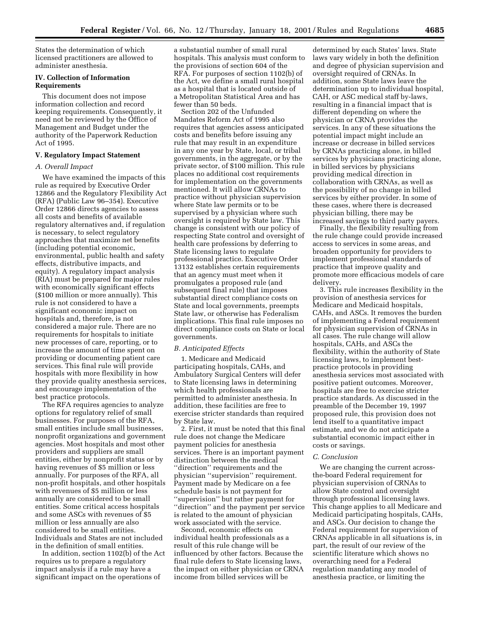States the determination of which licensed practitioners are allowed to administer anesthesia.

### **IV. Collection of Information Requirements**

This document does not impose information collection and record keeping requirements. Consequently, it need not be reviewed by the Office of Management and Budget under the authority of the Paperwork Reduction Act of 1995.

### **V. Regulatory Impact Statement**

### *A. Overall Impact*

We have examined the impacts of this rule as required by Executive Order 12866 and the Regulatory Flexibility Act (RFA) (Public Law 96–354). Executive Order 12866 directs agencies to assess all costs and benefits of available regulatory alternatives and, if regulation is necessary, to select regulatory approaches that maximize net benefits (including potential economic, environmental, public health and safety effects, distributive impacts, and equity). A regulatory impact analysis (RIA) must be prepared for major rules with economically significant effects (\$100 million or more annually). This rule is not considered to have a significant economic impact on hospitals and, therefore, is not considered a major rule. There are no requirements for hospitals to initiate new processes of care, reporting, or to increase the amount of time spent on providing or documenting patient care services. This final rule will provide hospitals with more flexibility in how they provide quality anesthesia services, and encourage implementation of the best practice protocols.

The RFA requires agencies to analyze options for regulatory relief of small businesses. For purposes of the RFA, small entities include small businesses, nonprofit organizations and government agencies. Most hospitals and most other providers and suppliers are small entities, either by nonprofit status or by having revenues of \$5 million or less annually. For purposes of the RFA, all non-profit hospitals, and other hospitals with revenues of \$5 million or less annually are considered to be small entities. Some critical access hospitals and some ASCs with revenues of \$5 million or less annually are also considered to be small entities. Individuals and States are not included in the definition of small entities.

In addition, section 1102(b) of the Act requires us to prepare a regulatory impact analysis if a rule may have a significant impact on the operations of

a substantial number of small rural hospitals. This analysis must conform to the provisions of section 604 of the RFA. For purposes of section 1102(b) of the Act, we define a small rural hospital as a hospital that is located outside of a Metropolitan Statistical Area and has fewer than 50 beds.

Section 202 of the Unfunded Mandates Reform Act of 1995 also requires that agencies assess anticipated costs and benefits before issuing any rule that may result in an expenditure in any one year by State, local, or tribal governments, in the aggregate, or by the private sector, of \$100 million. This rule places no additional cost requirements for implementation on the governments mentioned. It will allow CRNAs to practice without physician supervision where State law permits or to be supervised by a physician where such oversight is required by State law. This change is consistent with our policy of respecting State control and oversight of health care professions by deferring to State licensing laws to regulate professional practice. Executive Order 13132 establishes certain requirements that an agency must meet when it promulgates a proposed rule (and subsequent final rule) that imposes substantial direct compliance costs on State and local governments, preempts State law, or otherwise has Federalism implications. This final rule imposes no direct compliance costs on State or local governments.

#### *B. Anticipated Effects*

1. Medicare and Medicaid participating hospitals, CAHs, and Ambulatory Surgical Centers will defer to State licensing laws in determining which health professionals are permitted to administer anesthesia. In addition, these facilities are free to exercise stricter standards than required by State law.

2. First, it must be noted that this final rule does not change the Medicare payment policies for anesthesia services. There is an important payment distinction between the medical ''direction'' requirements and the physician ''supervision'' requirement. Payment made by Medicare on a fee schedule basis is not payment for ''supervision'' but rather payment for ''direction'' and the payment per service is related to the amount of physician work associated with the service.

Second, economic effects on individual health professionals as a result of this rule change will be influenced by other factors. Because the final rule defers to State licensing laws, the impact on either physician or CRNA income from billed services will be

determined by each States' laws. State laws vary widely in both the definition and degree of physician supervision and oversight required of CRNAs. In addition, some State laws leave the determination up to individual hospital, CAH, or ASC medical staff by-laws, resulting in a financial impact that is different depending on where the physician or CRNA provides the services. In any of these situations the potential impact might include an increase or decrease in billed services by CRNAs practicing alone, in billed services by physicians practicing alone, in billed services by physicians providing medical direction in collaboration with CRNAs, as well as the possibility of no change in billed services by either provider. In some of these cases, where there is decreased physician billing, there may be increased savings to third party payers.

Finally, the flexibility resulting from the rule change could provide increased access to services in some areas, and broaden opportunity for providers to implement professional standards of practice that improve quality and promote more efficacious models of care delivery.

3. This rule increases flexibility in the provision of anesthesia services for Medicare and Medicaid hospitals, CAHs, and ASCs. It removes the burden of implementing a Federal requirement for physician supervision of CRNAs in all cases. The rule change will allow hospitals, CAHs, and ASCs the flexibility, within the authority of State licensing laws, to implement bestpractice protocols in providing anesthesia services most associated with positive patient outcomes. Moreover, hospitals are free to exercise stricter practice standards. As discussed in the preamble of the December 19, 1997 proposed rule, this provision does not lend itself to a quantitative impact estimate, and we do not anticipate a substantial economic impact either in costs or savings.

#### *C. Conclusion*

We are changing the current acrossthe-board Federal requirement for physician supervision of CRNAs to allow State control and oversight through professional licensing laws. This change applies to all Medicare and Medicaid participating hospitals, CAHs, and ASCs. Our decision to change the Federal requirement for supervision of CRNAs applicable in all situations is, in part, the result of our review of the scientific literature which shows no overarching need for a Federal regulation mandating any model of anesthesia practice, or limiting the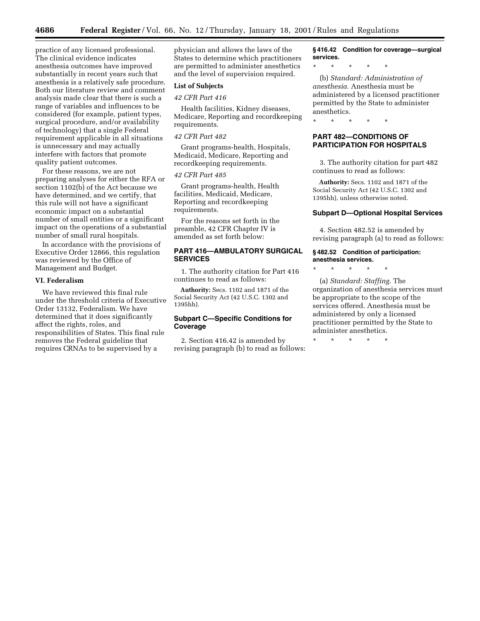practice of any licensed professional. The clinical evidence indicates anesthesia outcomes have improved substantially in recent years such that anesthesia is a relatively safe procedure. Both our literature review and comment analysis made clear that there is such a range of variables and influences to be considered (for example, patient types, surgical procedure, and/or availability of technology) that a single Federal requirement applicable in all situations is unnecessary and may actually interfere with factors that promote quality patient outcomes.

For these reasons, we are not preparing analyses for either the RFA or section 1102(b) of the Act because we have determined, and we certify, that this rule will not have a significant economic impact on a substantial number of small entities or a significant impact on the operations of a substantial number of small rural hospitals.

In accordance with the provisions of Executive Order 12866, this regulation was reviewed by the Office of Management and Budget.

#### **VI. Federalism**

We have reviewed this final rule under the threshold criteria of Executive Order 13132, Federalism. We have determined that it does significantly affect the rights, roles, and responsibilities of States. This final rule removes the Federal guideline that requires CRNAs to be supervised by a

physician and allows the laws of the States to determine which practitioners are permitted to administer anesthetics and the level of supervision required.

### **List of Subjects**

## *42 CFR Part 416*

Health facilities, Kidney diseases, Medicare, Reporting and recordkeeping requirements.

### *42 CFR Part 482*

Grant programs-health, Hospitals, Medicaid, Medicare, Reporting and recordkeeping requirements.

### *42 CFR Part 485*

Grant programs-health, Health facilities, Medicaid, Medicare, Reporting and recordkeeping requirements.

For the reasons set forth in the preamble, 42 CFR Chapter IV is amended as set forth below:

# **PART 416—AMBULATORY SURGICAL SERVICES**

1. The authority citation for Part 416 continues to read as follows:

**Authority:** Secs. 1102 and 1871 of the Social Security Act (42 U.S.C. 1302 and 1395hh).

# **Subpart C—Specific Conditions for Coverage**

2. Section 416.42 is amended by revising paragraph (b) to read as follows:

**§ 416.42 Condition for coverage—surgical services.**

\* \* \* \* \*

(b) *Standard: Administration of anesthesia.* Anesthesia must be administered by a licensed practitioner permitted by the State to administer anesthetics.

\* \* \* \* \*

# **PART 482—CONDITIONS OF PARTICIPATION FOR HOSPITALS**

3. The authority citation for part 482 continues to read as follows:

**Authority:** Secs. 1102 and 1871 of the Social Security Act (42 U.S.C. 1302 and 1395hh), unless otherwise noted.

#### **Subpart D—Optional Hospital Services**

4. Section 482.52 is amended by revising paragraph (a) to read as follows:

#### **§ 482.52 Condition of participation: anesthesia services.**

\* \* \* \* \*

(a) *Standard: Staffing.* The organization of anesthesia services must be appropriate to the scope of the services offered. Anesthesia must be administered by only a licensed practitioner permitted by the State to administer anesthetics.

\* \* \* \* \*